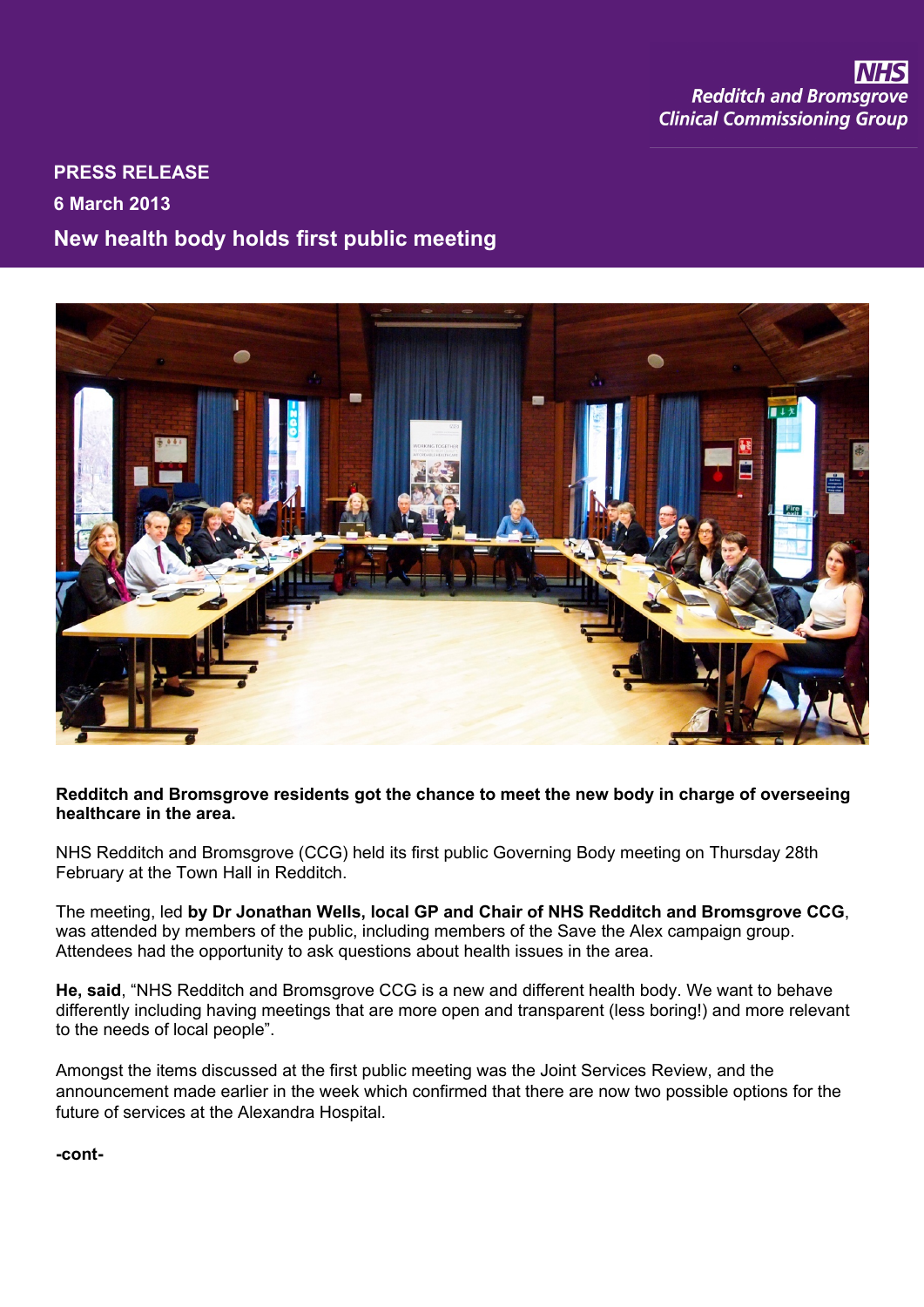## **PRESS RELEASE 6 March 2013 New health body holds first public meeting**



**Redditch and Bromsgrove residents got the chance to meet the new body in charge of overseeing healthcare in the area.**

NHS Redditch and Bromsgrove (CCG) held its first public Governing Body meeting on Thursday 28th February at the Town Hall in Redditch.

The meeting, led **by Dr Jonathan Wells, local GP and Chair of NHS Redditch and Bromsgrove CCG**, was attended by members of the public, including members of the Save the Alex campaign group. Attendees had the opportunity to ask questions about health issues in the area.

**He, said**, "NHS Redditch and Bromsgrove CCG is a new and different health body. We want to behave differently including having meetings that are more open and transparent (less boring!) and more relevant to the needs of local people".

Amongst the items discussed at the first public meeting was the Joint Services Review, and the announcement made earlier in the week which confirmed that there are now two possible options for the future of services at the Alexandra Hospital.

**-cont-**